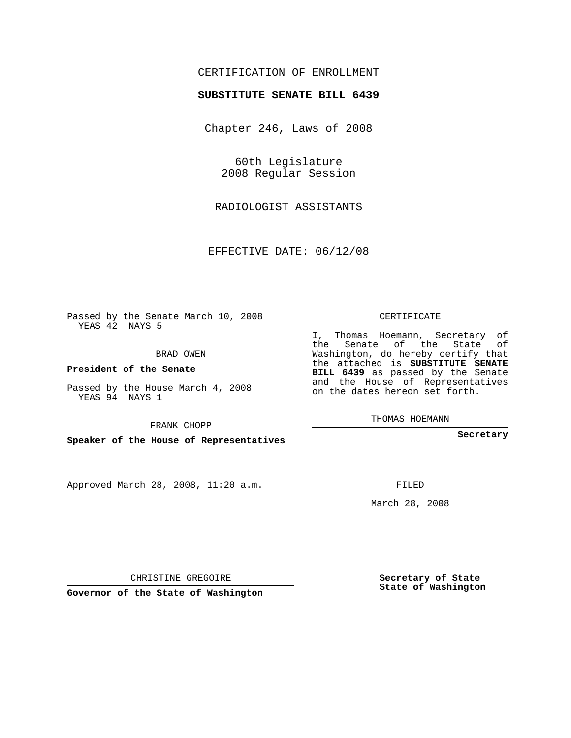## CERTIFICATION OF ENROLLMENT

## **SUBSTITUTE SENATE BILL 6439**

Chapter 246, Laws of 2008

60th Legislature 2008 Regular Session

RADIOLOGIST ASSISTANTS

EFFECTIVE DATE: 06/12/08

Passed by the Senate March 10, 2008 YEAS 42 NAYS 5

BRAD OWEN

**President of the Senate**

Passed by the House March 4, 2008 YEAS 94 NAYS 1

FRANK CHOPP

**Speaker of the House of Representatives**

Approved March 28, 2008, 11:20 a.m.

CERTIFICATE

I, Thomas Hoemann, Secretary of the Senate of the State of Washington, do hereby certify that the attached is **SUBSTITUTE SENATE BILL 6439** as passed by the Senate and the House of Representatives on the dates hereon set forth.

THOMAS HOEMANN

**Secretary**

FILED

March 28, 2008

**Secretary of State State of Washington**

CHRISTINE GREGOIRE

**Governor of the State of Washington**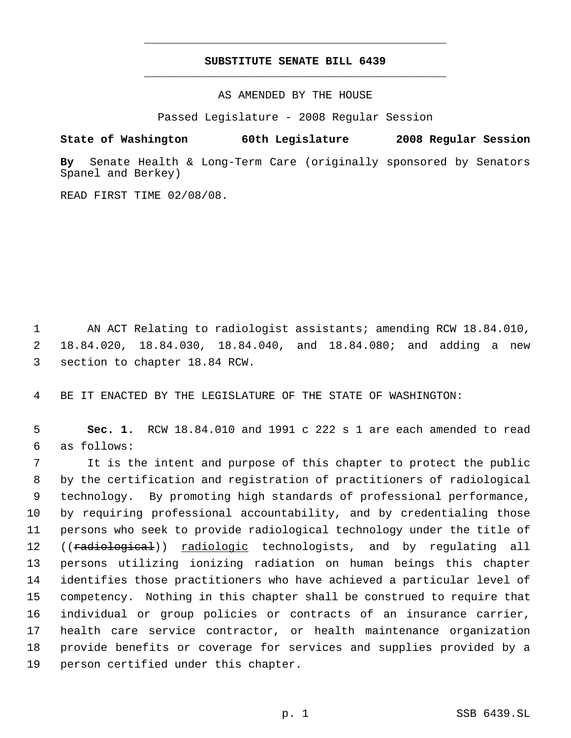## **SUBSTITUTE SENATE BILL 6439** \_\_\_\_\_\_\_\_\_\_\_\_\_\_\_\_\_\_\_\_\_\_\_\_\_\_\_\_\_\_\_\_\_\_\_\_\_\_\_\_\_\_\_\_\_

\_\_\_\_\_\_\_\_\_\_\_\_\_\_\_\_\_\_\_\_\_\_\_\_\_\_\_\_\_\_\_\_\_\_\_\_\_\_\_\_\_\_\_\_\_

AS AMENDED BY THE HOUSE

Passed Legislature - 2008 Regular Session

**State of Washington 60th Legislature 2008 Regular Session**

**By** Senate Health & Long-Term Care (originally sponsored by Senators Spanel and Berkey)

READ FIRST TIME 02/08/08.

 AN ACT Relating to radiologist assistants; amending RCW 18.84.010, 18.84.020, 18.84.030, 18.84.040, and 18.84.080; and adding a new section to chapter 18.84 RCW.

BE IT ENACTED BY THE LEGISLATURE OF THE STATE OF WASHINGTON:

 **Sec. 1.** RCW 18.84.010 and 1991 c 222 s 1 are each amended to read as follows:

 It is the intent and purpose of this chapter to protect the public by the certification and registration of practitioners of radiological technology. By promoting high standards of professional performance, by requiring professional accountability, and by credentialing those persons who seek to provide radiological technology under the title of 12 ((<del>radiological</del>)) radiologic technologists, and by regulating all persons utilizing ionizing radiation on human beings this chapter identifies those practitioners who have achieved a particular level of competency. Nothing in this chapter shall be construed to require that individual or group policies or contracts of an insurance carrier, health care service contractor, or health maintenance organization provide benefits or coverage for services and supplies provided by a person certified under this chapter.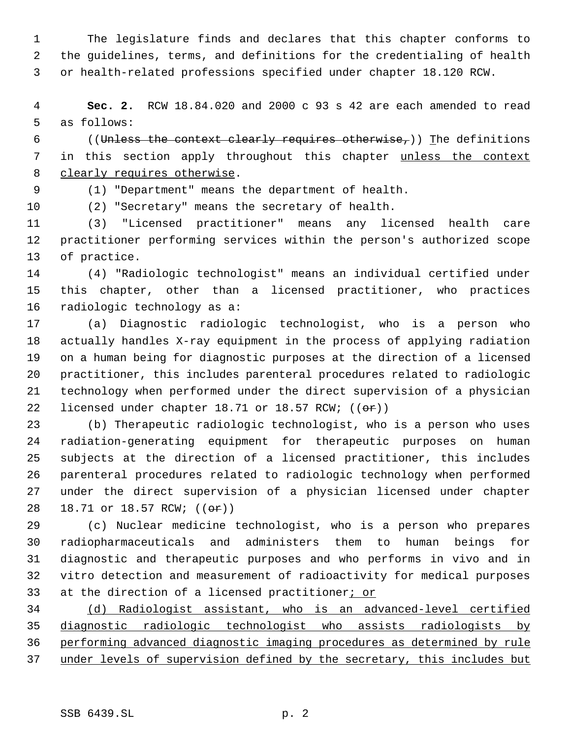The legislature finds and declares that this chapter conforms to the guidelines, terms, and definitions for the credentialing of health or health-related professions specified under chapter 18.120 RCW.

 **Sec. 2.** RCW 18.84.020 and 2000 c 93 s 42 are each amended to read as follows:

6 ((Unless the context clearly requires otherwise,)) The definitions 7 in this section apply throughout this chapter unless the context 8 clearly requires otherwise.

(1) "Department" means the department of health.

(2) "Secretary" means the secretary of health.

 (3) "Licensed practitioner" means any licensed health care practitioner performing services within the person's authorized scope of practice.

 (4) "Radiologic technologist" means an individual certified under this chapter, other than a licensed practitioner, who practices radiologic technology as a:

 (a) Diagnostic radiologic technologist, who is a person who actually handles X-ray equipment in the process of applying radiation on a human being for diagnostic purposes at the direction of a licensed practitioner, this includes parenteral procedures related to radiologic technology when performed under the direct supervision of a physician 22 licensed under chapter 18.71 or 18.57 RCW; ((or))

 (b) Therapeutic radiologic technologist, who is a person who uses radiation-generating equipment for therapeutic purposes on human subjects at the direction of a licensed practitioner, this includes parenteral procedures related to radiologic technology when performed under the direct supervision of a physician licensed under chapter 28 18.71 or 18.57 RCW; (( $\Theta$ r))

 (c) Nuclear medicine technologist, who is a person who prepares radiopharmaceuticals and administers them to human beings for diagnostic and therapeutic purposes and who performs in vivo and in vitro detection and measurement of radioactivity for medical purposes 33 at the direction of a licensed practitioner; or

 (d) Radiologist assistant, who is an advanced-level certified diagnostic radiologic technologist who assists radiologists by performing advanced diagnostic imaging procedures as determined by rule 37 under levels of supervision defined by the secretary, this includes but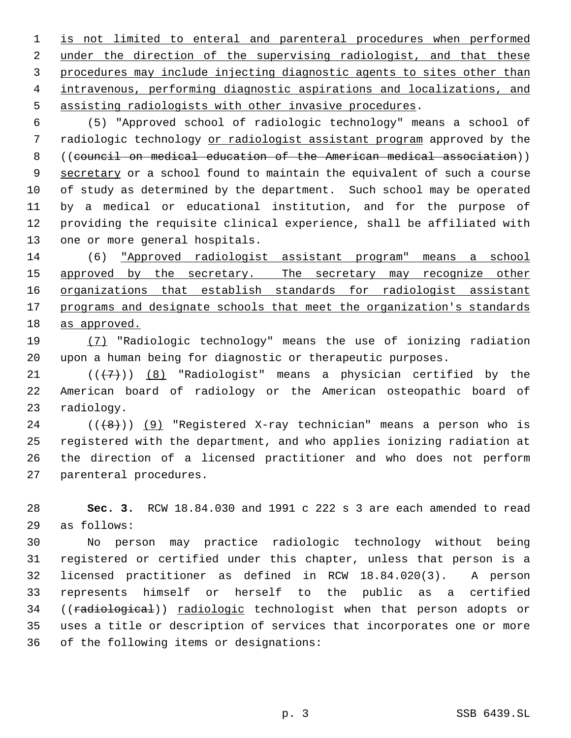is not limited to enteral and parenteral procedures when performed 2 under the direction of the supervising radiologist, and that these procedures may include injecting diagnostic agents to sites other than intravenous, performing diagnostic aspirations and localizations, and assisting radiologists with other invasive procedures.

 (5) "Approved school of radiologic technology" means a school of 7 radiologic technology or radiologist assistant program approved by the ((council on medical education of the American medical association)) 9 secretary or a school found to maintain the equivalent of such a course of study as determined by the department. Such school may be operated by a medical or educational institution, and for the purpose of providing the requisite clinical experience, shall be affiliated with one or more general hospitals.

 (6) "Approved radiologist assistant program" means a school 15 approved by the secretary. The secretary may recognize other 16 organizations that establish standards for radiologist assistant 17 programs and designate schools that meet the organization's standards as approved.

 (7) "Radiologic technology" means the use of ionizing radiation upon a human being for diagnostic or therapeutic purposes.

21  $((+7))$   $(8)$  "Radiologist" means a physician certified by the American board of radiology or the American osteopathic board of radiology.

 ( $(\overline{8})$ ) (9) "Registered X-ray technician" means a person who is registered with the department, and who applies ionizing radiation at the direction of a licensed practitioner and who does not perform parenteral procedures.

 **Sec. 3.** RCW 18.84.030 and 1991 c 222 s 3 are each amended to read as follows:

 No person may practice radiologic technology without being registered or certified under this chapter, unless that person is a licensed practitioner as defined in RCW 18.84.020(3). A person represents himself or herself to the public as a certified 34 ((radiological)) radiologic technologist when that person adopts or uses a title or description of services that incorporates one or more of the following items or designations: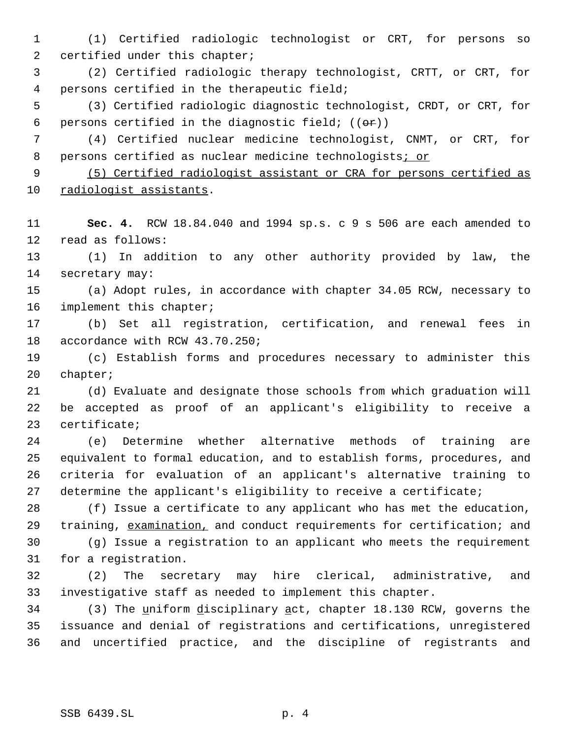(1) Certified radiologic technologist or CRT, for persons so 2 certified under this chapter;

 (2) Certified radiologic therapy technologist, CRTT, or CRT, for persons certified in the therapeutic field;

 (3) Certified radiologic diagnostic technologist, CRDT, or CRT, for 6 persons certified in the diagnostic field;  $((\theta \cdot \mathbf{r}))$ 

 (4) Certified nuclear medicine technologist, CNMT, or CRT, for 8 persons certified as nuclear medicine technologists; or

 (5) Certified radiologist assistant or CRA for persons certified as radiologist assistants.

 **Sec. 4.** RCW 18.84.040 and 1994 sp.s. c 9 s 506 are each amended to read as follows:

 (1) In addition to any other authority provided by law, the secretary may:

 (a) Adopt rules, in accordance with chapter 34.05 RCW, necessary to implement this chapter;

 (b) Set all registration, certification, and renewal fees in accordance with RCW 43.70.250;

 (c) Establish forms and procedures necessary to administer this chapter;

 (d) Evaluate and designate those schools from which graduation will be accepted as proof of an applicant's eligibility to receive a certificate;

 (e) Determine whether alternative methods of training are equivalent to formal education, and to establish forms, procedures, and criteria for evaluation of an applicant's alternative training to 27 determine the applicant's eligibility to receive a certificate;

 (f) Issue a certificate to any applicant who has met the education, 29 training, examination, and conduct requirements for certification; and (g) Issue a registration to an applicant who meets the requirement

for a registration.

 (2) The secretary may hire clerical, administrative, and investigative staff as needed to implement this chapter.

34 (3) The uniform disciplinary act, chapter 18.130 RCW, governs the issuance and denial of registrations and certifications, unregistered and uncertified practice, and the discipline of registrants and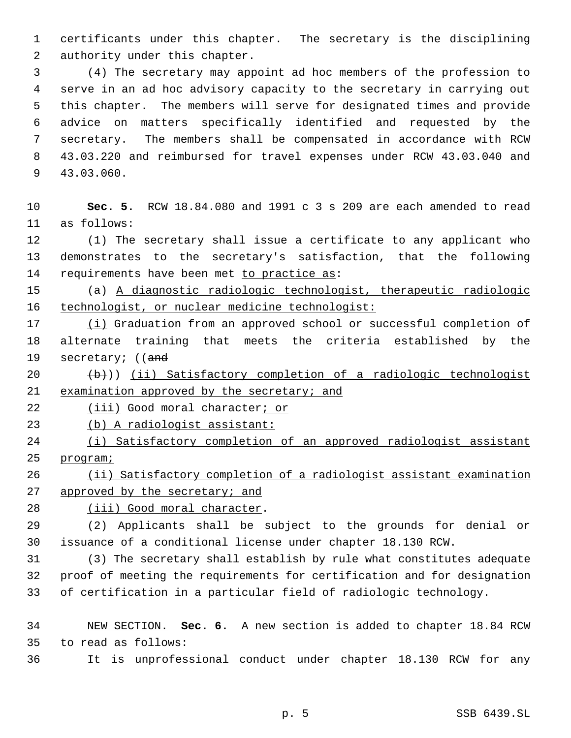certificants under this chapter. The secretary is the disciplining authority under this chapter.

 (4) The secretary may appoint ad hoc members of the profession to serve in an ad hoc advisory capacity to the secretary in carrying out this chapter. The members will serve for designated times and provide advice on matters specifically identified and requested by the secretary. The members shall be compensated in accordance with RCW 43.03.220 and reimbursed for travel expenses under RCW 43.03.040 and 43.03.060.

 **Sec. 5.** RCW 18.84.080 and 1991 c 3 s 209 are each amended to read as follows:

 (1) The secretary shall issue a certificate to any applicant who demonstrates to the secretary's satisfaction, that the following 14 requirements have been met to practice as:

 (a) A diagnostic radiologic technologist, therapeutic radiologic 16 technologist, or nuclear medicine technologist:

 (i) Graduation from an approved school or successful completion of alternate training that meets the criteria established by the 19 secretary; ((and

 $(20 + b)$ ) (ii) Satisfactory completion of a radiologic technologist examination approved by the secretary; and

22 (iii) Good moral character; or

(b) A radiologist assistant:

 (i) Satisfactory completion of an approved radiologist assistant program;

 (ii) Satisfactory completion of a radiologist assistant examination 27 approved by the secretary; and

(iii) Good moral character.

 (2) Applicants shall be subject to the grounds for denial or issuance of a conditional license under chapter 18.130 RCW.

 (3) The secretary shall establish by rule what constitutes adequate proof of meeting the requirements for certification and for designation of certification in a particular field of radiologic technology.

 NEW SECTION. **Sec. 6.** A new section is added to chapter 18.84 RCW to read as follows:

It is unprofessional conduct under chapter 18.130 RCW for any